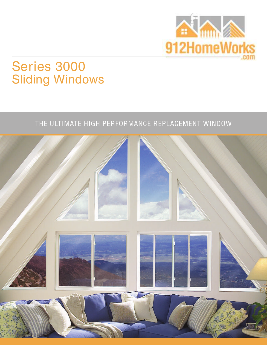

# Series 3000 Sliding Windows

## THE ULTIMATE HIGH PERFORMANCE REPLACEMENT WINDOW